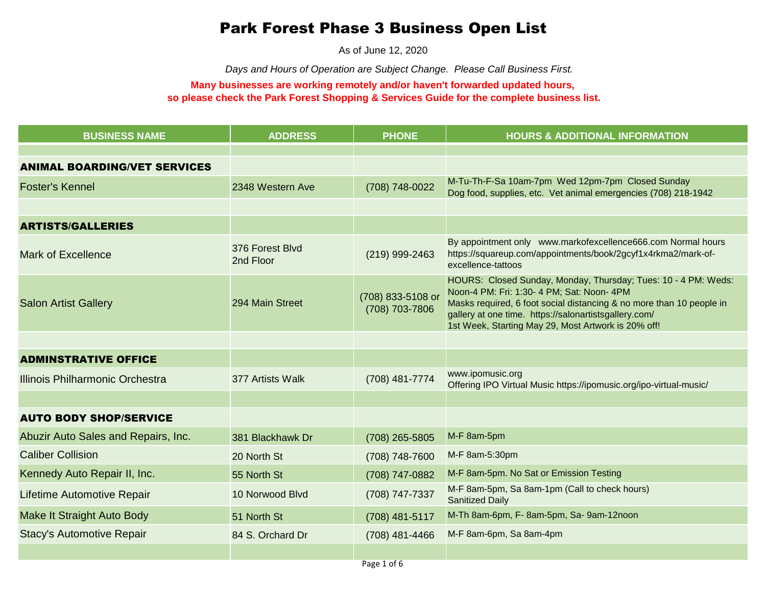## Park Forest Phase 3 Business Open List

As of June 12, 2020

*Days and Hours of Operation are Subject Change. Please Call Business First.*

## **Many businesses are working remotely and/or haven't forwarded updated hours, so please check the Park Forest Shopping & Services Guide for the complete business list.**

| <b>BUSINESS NAME</b>                | <b>ADDRESS</b>               | <b>PHONE</b>                        | <b>HOURS &amp; ADDITIONAL INFORMATION</b>                                                                                                                                                                                                                                                            |
|-------------------------------------|------------------------------|-------------------------------------|------------------------------------------------------------------------------------------------------------------------------------------------------------------------------------------------------------------------------------------------------------------------------------------------------|
|                                     |                              |                                     |                                                                                                                                                                                                                                                                                                      |
| <b>ANIMAL BOARDING/VET SERVICES</b> |                              |                                     |                                                                                                                                                                                                                                                                                                      |
| <b>Foster's Kennel</b>              | 2348 Western Ave             | (708) 748-0022                      | M-Tu-Th-F-Sa 10am-7pm Wed 12pm-7pm Closed Sunday<br>Dog food, supplies, etc. Vet animal emergencies (708) 218-1942                                                                                                                                                                                   |
|                                     |                              |                                     |                                                                                                                                                                                                                                                                                                      |
| <b>ARTISTS/GALLERIES</b>            |                              |                                     |                                                                                                                                                                                                                                                                                                      |
| <b>Mark of Excellence</b>           | 376 Forest Blvd<br>2nd Floor | (219) 999-2463                      | By appointment only www.markofexcellence666.com Normal hours<br>https://squareup.com/appointments/book/2gcyf1x4rkma2/mark-of-<br>excellence-tattoos                                                                                                                                                  |
| <b>Salon Artist Gallery</b>         | 294 Main Street              | (708) 833-5108 or<br>(708) 703-7806 | HOURS: Closed Sunday, Monday, Thursday; Tues: 10 - 4 PM: Weds:<br>Noon-4 PM: Fri: 1:30- 4 PM; Sat: Noon- 4PM<br>Masks required, 6 foot social distancing & no more than 10 people in<br>gallery at one time. https://salonartistsgallery.com/<br>1st Week, Starting May 29, Most Artwork is 20% off! |
|                                     |                              |                                     |                                                                                                                                                                                                                                                                                                      |
| <b>ADMINSTRATIVE OFFICE</b>         |                              |                                     |                                                                                                                                                                                                                                                                                                      |
| Illinois Philharmonic Orchestra     | 377 Artists Walk             | (708) 481-7774                      | www.ipomusic.org<br>Offering IPO Virtual Music https://ipomusic.org/ipo-virtual-music/                                                                                                                                                                                                               |
|                                     |                              |                                     |                                                                                                                                                                                                                                                                                                      |
| <b>AUTO BODY SHOP/SERVICE</b>       |                              |                                     |                                                                                                                                                                                                                                                                                                      |
| Abuzir Auto Sales and Repairs, Inc. | 381 Blackhawk Dr             | (708) 265-5805                      | M-F 8am-5pm                                                                                                                                                                                                                                                                                          |
| <b>Caliber Collision</b>            | 20 North St                  | (708) 748-7600                      | M-F 8am-5:30pm                                                                                                                                                                                                                                                                                       |
| Kennedy Auto Repair II, Inc.        | 55 North St                  | (708) 747-0882                      | M-F 8am-5pm. No Sat or Emission Testing                                                                                                                                                                                                                                                              |
| Lifetime Automotive Repair          | 10 Norwood Blvd              | (708) 747-7337                      | M-F 8am-5pm, Sa 8am-1pm (Call to check hours)<br><b>Sanitized Daily</b>                                                                                                                                                                                                                              |
| Make It Straight Auto Body          | 51 North St                  | (708) 481-5117                      | M-Th 8am-6pm, F- 8am-5pm, Sa- 9am-12noon                                                                                                                                                                                                                                                             |
| <b>Stacy's Automotive Repair</b>    | 84 S. Orchard Dr             | (708) 481-4466                      | M-F 8am-6pm, Sa 8am-4pm                                                                                                                                                                                                                                                                              |
|                                     |                              |                                     |                                                                                                                                                                                                                                                                                                      |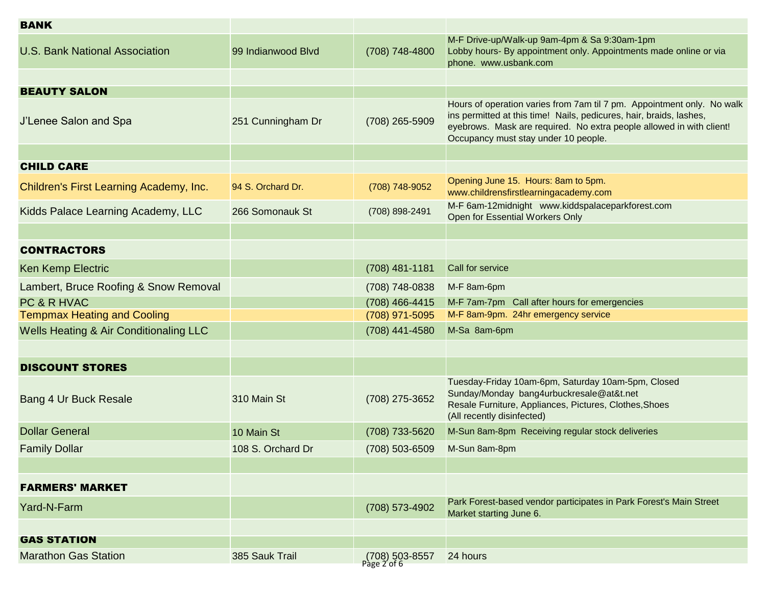| <b>BANK</b>                             |                    |                               |                                                                                                                                                                                                                                                               |
|-----------------------------------------|--------------------|-------------------------------|---------------------------------------------------------------------------------------------------------------------------------------------------------------------------------------------------------------------------------------------------------------|
| <b>U.S. Bank National Association</b>   | 99 Indianwood Blvd | (708) 748-4800                | M-F Drive-up/Walk-up 9am-4pm & Sa 9:30am-1pm<br>Lobby hours- By appointment only. Appointments made online or via<br>phone. www.usbank.com                                                                                                                    |
|                                         |                    |                               |                                                                                                                                                                                                                                                               |
| <b>BEAUTY SALON</b>                     |                    |                               |                                                                                                                                                                                                                                                               |
| J'Lenee Salon and Spa                   | 251 Cunningham Dr  | (708) 265-5909                | Hours of operation varies from 7am til 7 pm. Appointment only. No walk<br>ins permitted at this time! Nails, pedicures, hair, braids, lashes,<br>eyebrows. Mask are required. No extra people allowed in with client!<br>Occupancy must stay under 10 people. |
|                                         |                    |                               |                                                                                                                                                                                                                                                               |
| <b>CHILD CARE</b>                       |                    |                               |                                                                                                                                                                                                                                                               |
| Children's First Learning Academy, Inc. | 94 S. Orchard Dr.  | (708) 748-9052                | Opening June 15. Hours: 8am to 5pm.<br>www.childrensfirstlearningacademy.com                                                                                                                                                                                  |
| Kidds Palace Learning Academy, LLC      | 266 Somonauk St    | (708) 898-2491                | M-F 6am-12midnight www.kiddspalaceparkforest.com<br>Open for Essential Workers Only                                                                                                                                                                           |
|                                         |                    |                               |                                                                                                                                                                                                                                                               |
| <b>CONTRACTORS</b>                      |                    |                               |                                                                                                                                                                                                                                                               |
| <b>Ken Kemp Electric</b>                |                    | $(708)$ 481-1181              | Call for service                                                                                                                                                                                                                                              |
| Lambert, Bruce Roofing & Snow Removal   |                    | (708) 748-0838                | M-F 8am-6pm                                                                                                                                                                                                                                                   |
| PC & R HVAC                             |                    | (708) 466-4415                | M-F 7am-7pm Call after hours for emergencies                                                                                                                                                                                                                  |
| <b>Tempmax Heating and Cooling</b>      |                    | (708) 971-5095                | M-F 8am-9pm. 24hr emergency service                                                                                                                                                                                                                           |
| Wells Heating & Air Conditionaling LLC  |                    | (708) 441-4580                | M-Sa 8am-6pm                                                                                                                                                                                                                                                  |
|                                         |                    |                               |                                                                                                                                                                                                                                                               |
| <b>DISCOUNT STORES</b>                  |                    |                               |                                                                                                                                                                                                                                                               |
| Bang 4 Ur Buck Resale                   | 310 Main St        | (708) 275-3652                | Tuesday-Friday 10am-6pm, Saturday 10am-5pm, Closed<br>Sunday/Monday bang4urbuckresale@at&t.net<br>Resale Furniture, Appliances, Pictures, Clothes, Shoes<br>(All recently disinfected)                                                                        |
| <b>Dollar General</b>                   | 10 Main St         | (708) 733-5620                | M-Sun 8am-8pm Receiving regular stock deliveries                                                                                                                                                                                                              |
| <b>Family Dollar</b>                    | 108 S. Orchard Dr  | (708) 503-6509 M-Sun 8am-8pm  |                                                                                                                                                                                                                                                               |
|                                         |                    |                               |                                                                                                                                                                                                                                                               |
| <b>FARMERS' MARKET</b>                  |                    |                               |                                                                                                                                                                                                                                                               |
| Yard-N-Farm                             |                    | (708) 573-4902                | Park Forest-based vendor participates in Park Forest's Main Street<br>Market starting June 6.                                                                                                                                                                 |
|                                         |                    |                               |                                                                                                                                                                                                                                                               |
| <b>GAS STATION</b>                      |                    |                               |                                                                                                                                                                                                                                                               |
| <b>Marathon Gas Station</b>             | 385 Sauk Trail     | (708) 503-8557<br>Page 2 of 6 | 24 hours                                                                                                                                                                                                                                                      |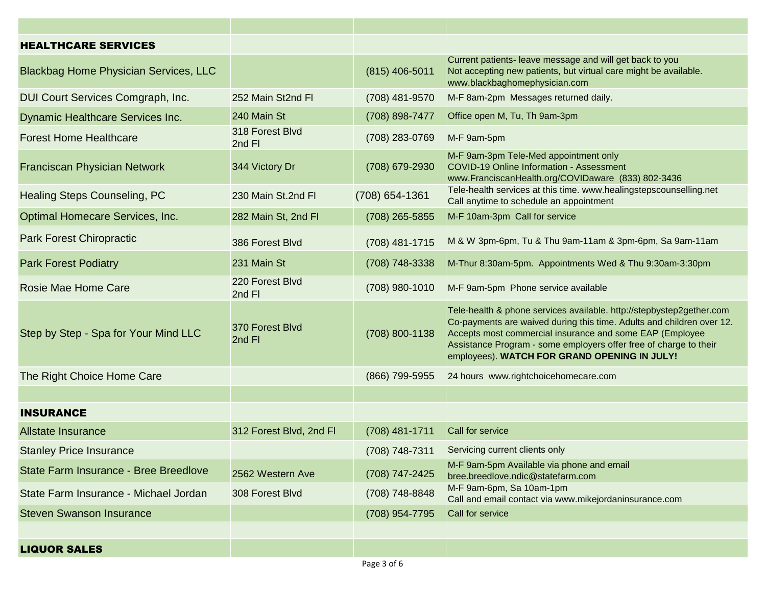| <b>HEALTHCARE SERVICES</b>                   |                           |                |                                                                                                                                                                                                                                                                                                                                |
|----------------------------------------------|---------------------------|----------------|--------------------------------------------------------------------------------------------------------------------------------------------------------------------------------------------------------------------------------------------------------------------------------------------------------------------------------|
| <b>Blackbag Home Physician Services, LLC</b> |                           | (815) 406-5011 | Current patients- leave message and will get back to you<br>Not accepting new patients, but virtual care might be available.<br>www.blackbaghomephysician.com                                                                                                                                                                  |
| DUI Court Services Comgraph, Inc.            | 252 Main St2nd Fl         | (708) 481-9570 | M-F 8am-2pm Messages returned daily.                                                                                                                                                                                                                                                                                           |
| <b>Dynamic Healthcare Services Inc.</b>      | 240 Main St               | (708) 898-7477 | Office open M, Tu, Th 9am-3pm                                                                                                                                                                                                                                                                                                  |
| <b>Forest Home Healthcare</b>                | 318 Forest Blvd<br>2nd Fl | (708) 283-0769 | M-F 9am-5pm                                                                                                                                                                                                                                                                                                                    |
| <b>Franciscan Physician Network</b>          | 344 Victory Dr            | (708) 679-2930 | M-F 9am-3pm Tele-Med appointment only<br><b>COVID-19 Online Information - Assessment</b><br>www.FranciscanHealth.org/COVIDaware (833) 802-3436                                                                                                                                                                                 |
| <b>Healing Steps Counseling, PC</b>          | 230 Main St.2nd Fl        | (708) 654-1361 | Tele-health services at this time. www.healingstepscounselling.net<br>Call anytime to schedule an appointment                                                                                                                                                                                                                  |
| Optimal Homecare Services, Inc.              | 282 Main St, 2nd Fl       | (708) 265-5855 | M-F 10am-3pm Call for service                                                                                                                                                                                                                                                                                                  |
| <b>Park Forest Chiropractic</b>              | 386 Forest Blvd           | (708) 481-1715 | M & W 3pm-6pm, Tu & Thu 9am-11am & 3pm-6pm, Sa 9am-11am                                                                                                                                                                                                                                                                        |
| <b>Park Forest Podiatry</b>                  | 231 Main St               | (708) 748-3338 | M-Thur 8:30am-5pm. Appointments Wed & Thu 9:30am-3:30pm                                                                                                                                                                                                                                                                        |
| <b>Rosie Mae Home Care</b>                   | 220 Forest Blvd<br>2nd Fl | (708) 980-1010 | M-F 9am-5pm Phone service available                                                                                                                                                                                                                                                                                            |
| Step by Step - Spa for Your Mind LLC         | 370 Forest Blvd<br>2nd Fl | (708) 800-1138 | Tele-health & phone services available. http://stepbystep2gether.com<br>Co-payments are waived during this time. Adults and children over 12.<br>Accepts most commercial insurance and some EAP (Employee<br>Assistance Program - some employers offer free of charge to their<br>employees). WATCH FOR GRAND OPENING IN JULY! |
| The Right Choice Home Care                   |                           | (866) 799-5955 | 24 hours www.rightchoicehomecare.com                                                                                                                                                                                                                                                                                           |
|                                              |                           |                |                                                                                                                                                                                                                                                                                                                                |
| <b>INSURANCE</b>                             |                           |                |                                                                                                                                                                                                                                                                                                                                |
| <b>Allstate Insurance</b>                    | 312 Forest Blvd, 2nd Fl   | (708) 481-1711 | Call for service                                                                                                                                                                                                                                                                                                               |
| <b>Stanley Price Insurance</b>               |                           | (708) 748-7311 | Servicing current clients only                                                                                                                                                                                                                                                                                                 |
| State Farm Insurance - Bree Breedlove        | 2562 Western Ave          | (708) 747-2425 | M-F 9am-5pm Available via phone and email<br>bree.breedlove.ndic@statefarm.com                                                                                                                                                                                                                                                 |
| State Farm Insurance - Michael Jordan        | 308 Forest Blvd           | (708) 748-8848 | M-F 9am-6pm, Sa 10am-1pm<br>Call and email contact via www.mikejordaninsurance.com                                                                                                                                                                                                                                             |
| <b>Steven Swanson Insurance</b>              |                           | (708) 954-7795 | Call for service                                                                                                                                                                                                                                                                                                               |
|                                              |                           |                |                                                                                                                                                                                                                                                                                                                                |
| <b>LIQUOR SALES</b>                          |                           |                |                                                                                                                                                                                                                                                                                                                                |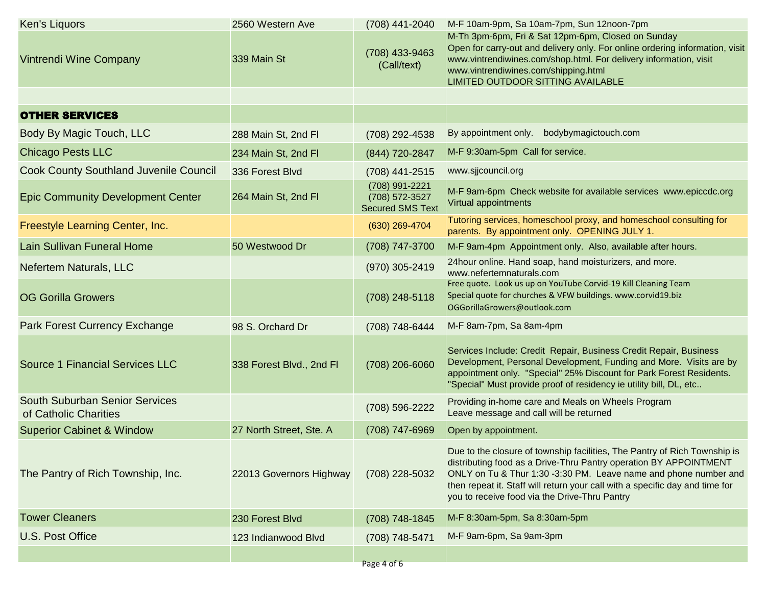| Ken's Liquors                                                  | 2560 Western Ave         | (708) 441-2040                                              | M-F 10am-9pm, Sa 10am-7pm, Sun 12noon-7pm                                                                                                                                                                                                                                                                                                           |
|----------------------------------------------------------------|--------------------------|-------------------------------------------------------------|-----------------------------------------------------------------------------------------------------------------------------------------------------------------------------------------------------------------------------------------------------------------------------------------------------------------------------------------------------|
| <b>Vintrendi Wine Company</b>                                  | 339 Main St              | (708) 433-9463<br>(Call/text)                               | M-Th 3pm-6pm, Fri & Sat 12pm-6pm, Closed on Sunday<br>Open for carry-out and delivery only. For online ordering information, visit<br>www.vintrendiwines.com/shop.html. For delivery information, visit<br>www.vintrendiwines.com/shipping.html<br>LIMITED OUTDOOR SITTING AVAILABLE                                                                |
|                                                                |                          |                                                             |                                                                                                                                                                                                                                                                                                                                                     |
| <b>OTHER SERVICES</b>                                          |                          |                                                             |                                                                                                                                                                                                                                                                                                                                                     |
| Body By Magic Touch, LLC                                       | 288 Main St, 2nd Fl      | (708) 292-4538                                              | By appointment only.<br>bodybymagictouch.com                                                                                                                                                                                                                                                                                                        |
| <b>Chicago Pests LLC</b>                                       | 234 Main St, 2nd Fl      | (844) 720-2847                                              | M-F 9:30am-5pm Call for service.                                                                                                                                                                                                                                                                                                                    |
| <b>Cook County Southland Juvenile Council</b>                  | 336 Forest Blvd          | (708) 441-2515                                              | www.sjjcouncil.org                                                                                                                                                                                                                                                                                                                                  |
| <b>Epic Community Development Center</b>                       | 264 Main St, 2nd Fl      | (708) 991-2221<br>(708) 572-3527<br><b>Secured SMS Text</b> | M-F 9am-6pm Check website for available services www.epiccdc.org<br>Virtual appointments                                                                                                                                                                                                                                                            |
| Freestyle Learning Center, Inc.                                |                          | (630) 269-4704                                              | Tutoring services, homeschool proxy, and homeschool consulting for<br>parents. By appointment only. OPENING JULY 1.                                                                                                                                                                                                                                 |
| <b>Lain Sullivan Funeral Home</b>                              | 50 Westwood Dr           | (708) 747-3700                                              | M-F 9am-4pm Appointment only. Also, available after hours.                                                                                                                                                                                                                                                                                          |
| <b>Nefertem Naturals, LLC</b>                                  |                          | (970) 305-2419                                              | 24 hour online. Hand soap, hand moisturizers, and more.<br>www.nefertemnaturals.com                                                                                                                                                                                                                                                                 |
| <b>OG Gorilla Growers</b>                                      |                          | (708) 248-5118                                              | Free quote. Look us up on YouTube Corvid-19 Kill Cleaning Team<br>Special quote for churches & VFW buildings. www.corvid19.biz<br>OGGorillaGrowers@outlook.com                                                                                                                                                                                      |
| Park Forest Currency Exchange                                  | 98 S. Orchard Dr         | (708) 748-6444                                              | M-F 8am-7pm, Sa 8am-4pm                                                                                                                                                                                                                                                                                                                             |
| <b>Source 1 Financial Services LLC</b>                         | 338 Forest Blvd., 2nd Fl | (708) 206-6060                                              | Services Include: Credit Repair, Business Credit Repair, Business<br>Development, Personal Development, Funding and More. Visits are by<br>appointment only. "Special" 25% Discount for Park Forest Residents.<br>"Special" Must provide proof of residency ie utility bill, DL, etc                                                                |
| <b>South Suburban Senior Services</b><br>of Catholic Charities |                          | (708) 596-2222                                              | Providing in-home care and Meals on Wheels Program<br>Leave message and call will be returned                                                                                                                                                                                                                                                       |
| <b>Superior Cabinet &amp; Window</b>                           | 27 North Street, Ste. A  | (708) 747-6969                                              | Open by appointment.                                                                                                                                                                                                                                                                                                                                |
| The Pantry of Rich Township, Inc.                              | 22013 Governors Highway  | (708) 228-5032                                              | Due to the closure of township facilities, The Pantry of Rich Township is<br>distributing food as a Drive-Thru Pantry operation BY APPOINTMENT<br>ONLY on Tu & Thur 1:30 -3:30 PM. Leave name and phone number and<br>then repeat it. Staff will return your call with a specific day and time for<br>you to receive food via the Drive-Thru Pantry |
| <b>Tower Cleaners</b>                                          | 230 Forest Blvd          | (708) 748-1845                                              | M-F 8:30am-5pm, Sa 8:30am-5pm                                                                                                                                                                                                                                                                                                                       |
| U.S. Post Office                                               | 123 Indianwood Blvd      | (708) 748-5471                                              | M-F 9am-6pm, Sa 9am-3pm                                                                                                                                                                                                                                                                                                                             |
|                                                                |                          | Page 4 of 6                                                 |                                                                                                                                                                                                                                                                                                                                                     |
|                                                                |                          |                                                             |                                                                                                                                                                                                                                                                                                                                                     |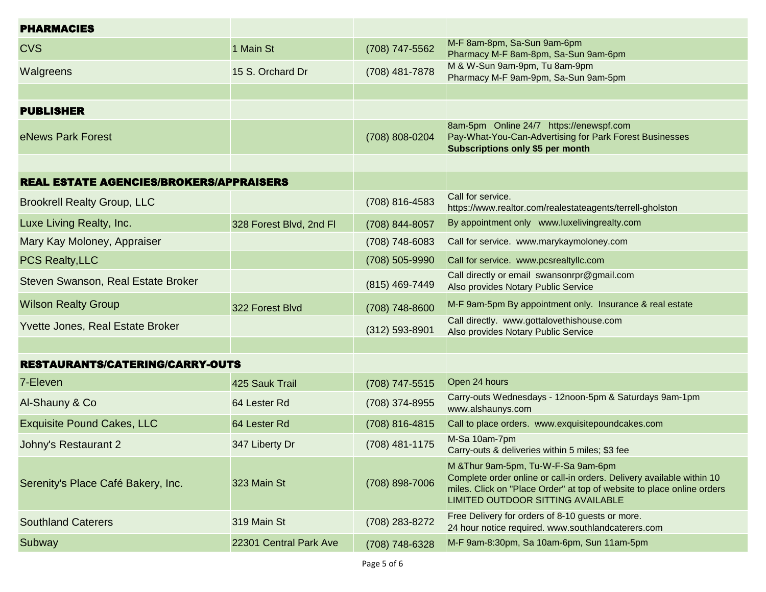| <b>PHARMACIES</b>                              |                         |                    |                                                                                                                                                                                                                             |
|------------------------------------------------|-------------------------|--------------------|-----------------------------------------------------------------------------------------------------------------------------------------------------------------------------------------------------------------------------|
| <b>CVS</b>                                     | 1 Main St               | (708) 747-5562     | M-F 8am-8pm, Sa-Sun 9am-6pm<br>Pharmacy M-F 8am-8pm, Sa-Sun 9am-6pm                                                                                                                                                         |
| Walgreens                                      | 15 S. Orchard Dr        | (708) 481-7878     | M & W-Sun 9am-9pm, Tu 8am-9pm<br>Pharmacy M-F 9am-9pm, Sa-Sun 9am-5pm                                                                                                                                                       |
|                                                |                         |                    |                                                                                                                                                                                                                             |
| <b>PUBLISHER</b>                               |                         |                    |                                                                                                                                                                                                                             |
| eNews Park Forest                              |                         | (708) 808-0204     | 8am-5pm Online 24/7 https://enewspf.com<br>Pay-What-You-Can-Advertising for Park Forest Businesses<br>Subscriptions only \$5 per month                                                                                      |
|                                                |                         |                    |                                                                                                                                                                                                                             |
| <b>REAL ESTATE AGENCIES/BROKERS/APPRAISERS</b> |                         |                    |                                                                                                                                                                                                                             |
| <b>Brookrell Realty Group, LLC</b>             |                         | (708) 816-4583     | Call for service.<br>https://www.realtor.com/realestateagents/terrell-gholston                                                                                                                                              |
| Luxe Living Realty, Inc.                       | 328 Forest Blvd, 2nd Fl | (708) 844-8057     | By appointment only www.luxelivingrealty.com                                                                                                                                                                                |
| Mary Kay Moloney, Appraiser                    |                         | (708) 748-6083     | Call for service. www.marykaymoloney.com                                                                                                                                                                                    |
| <b>PCS Realty, LLC</b>                         |                         | (708) 505-9990     | Call for service. www.pcsrealtyllc.com                                                                                                                                                                                      |
| Steven Swanson, Real Estate Broker             |                         | (815) 469-7449     | Call directly or email swansonrpr@gmail.com<br>Also provides Notary Public Service                                                                                                                                          |
| <b>Wilson Realty Group</b>                     | 322 Forest Blvd         | (708) 748-8600     | M-F 9am-5pm By appointment only. Insurance & real estate                                                                                                                                                                    |
| Yvette Jones, Real Estate Broker               |                         | $(312) 593 - 8901$ | Call directly. www.gottalovethishouse.com<br>Also provides Notary Public Service                                                                                                                                            |
|                                                |                         |                    |                                                                                                                                                                                                                             |
| <b>RESTAURANTS/CATERING/CARRY-OUTS</b>         |                         |                    |                                                                                                                                                                                                                             |
| 7-Eleven                                       | 425 Sauk Trail          | (708) 747-5515     | Open 24 hours                                                                                                                                                                                                               |
| Al-Shauny & Co                                 | 64 Lester Rd            | (708) 374-8955     | Carry-outs Wednesdays - 12noon-5pm & Saturdays 9am-1pm<br>www.alshaunys.com                                                                                                                                                 |
| <b>Exquisite Pound Cakes, LLC</b>              | 64 Lester Rd            | (708) 816-4815     | Call to place orders. www.exquisitepoundcakes.com                                                                                                                                                                           |
| Johny's Restaurant 2                           | 347 Liberty Dr          | (708) 481-1175     | M-Sa 10am-7pm<br>Carry-outs & deliveries within 5 miles; \$3 fee                                                                                                                                                            |
| Serenity's Place Café Bakery, Inc.             | 323 Main St             | (708) 898-7006     | M & Thur 9am-5pm, Tu-W-F-Sa 9am-6pm<br>Complete order online or call-in orders. Delivery available within 10<br>miles. Click on "Place Order" at top of website to place online orders<br>LIMITED OUTDOOR SITTING AVAILABLE |
| <b>Southland Caterers</b>                      | 319 Main St             | (708) 283-8272     | Free Delivery for orders of 8-10 guests or more.<br>24 hour notice required. www.southlandcaterers.com                                                                                                                      |
| Subway                                         | 22301 Central Park Ave  | (708) 748-6328     | M-F 9am-8:30pm, Sa 10am-6pm, Sun 11am-5pm                                                                                                                                                                                   |
|                                                |                         |                    |                                                                                                                                                                                                                             |